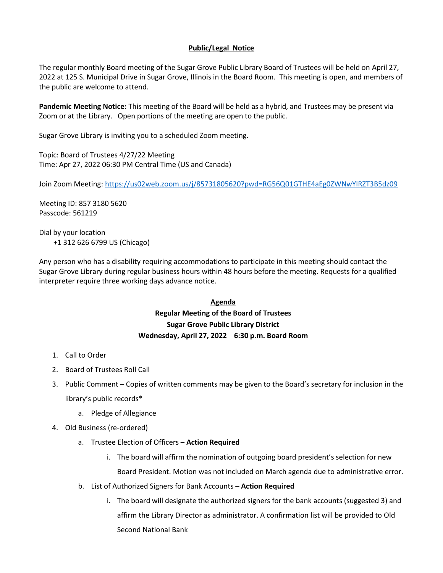# **Public/Legal Notice**

The regular monthly Board meeting of the Sugar Grove Public Library Board of Trustees will be held on April 27, 2022 at 125 S. Municipal Drive in Sugar Grove, Illinois in the Board Room. This meeting is open, and members of the public are welcome to attend.

**Pandemic Meeting Notice:** This meeting of the Board will be held as a hybrid, and Trustees may be present via Zoom or at the Library. Open portions of the meeting are open to the public.

Sugar Grove Library is inviting you to a scheduled Zoom meeting.

Topic: Board of Trustees 4/27/22 Meeting Time: Apr 27, 2022 06:30 PM Central Time (US and Canada)

Join Zoom Meeting:<https://us02web.zoom.us/j/85731805620?pwd=RG56Q01GTHE4aEg0ZWNwYlRZT3B5dz09>

Meeting ID: 857 3180 5620 Passcode: 561219

Dial by your location +1 312 626 6799 US (Chicago)

Any person who has a disability requiring accommodations to participate in this meeting should contact the Sugar Grove Library during regular business hours within 48 hours before the meeting. Requests for a qualified interpreter require three working days advance notice.

# **Agenda Regular Meeting of the Board of Trustees Sugar Grove Public Library District Wednesday, April 27, 2022 6:30 p.m. Board Room**

- 1. Call to Order
- 2. Board of Trustees Roll Call
- 3. Public Comment Copies of written comments may be given to the Board's secretary for inclusion in the library's public records\*
	- a. Pledge of Allegiance
- 4. Old Business (re-ordered)
	- a. Trustee Election of Officers **Action Required**
		- i. The board will affirm the nomination of outgoing board president's selection for new Board President. Motion was not included on March agenda due to administrative error.
	- b. List of Authorized Signers for Bank Accounts **Action Required**
		- i. The board will designate the authorized signers for the bank accounts (suggested 3) and affirm the Library Director as administrator. A confirmation list will be provided to Old Second National Bank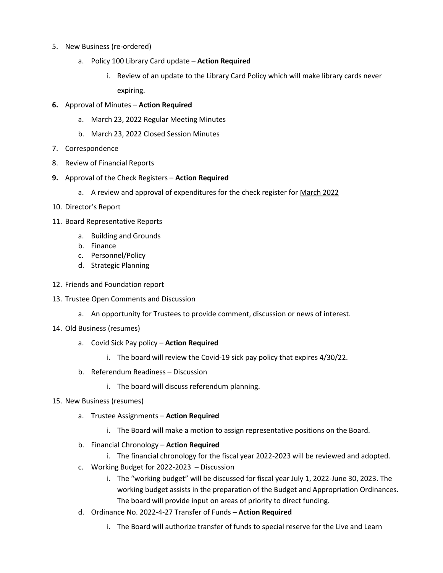- 5. New Business (re-ordered)
	- a. Policy 100 Library Card update **Action Required**
		- i. Review of an update to the Library Card Policy which will make library cards never expiring.
- **6.** Approval of Minutes **Action Required**
	- a. March 23, 2022 Regular Meeting Minutes
	- b. March 23, 2022 Closed Session Minutes
- 7. Correspondence
- 8. Review of Financial Reports
- **9.** Approval of the Check Registers **Action Required**
	- a. A review and approval of expenditures for the check register for March 2022
- 10. Director's Report
- 11. Board Representative Reports
	- a. Building and Grounds
	- b. Finance
	- c. Personnel/Policy
	- d. Strategic Planning
- 12. Friends and Foundation report
- 13. Trustee Open Comments and Discussion
	- a. An opportunity for Trustees to provide comment, discussion or news of interest.
- 14. Old Business (resumes)
	- a. Covid Sick Pay policy **Action Required**
		- i. The board will review the Covid-19 sick pay policy that expires 4/30/22.
	- b. Referendum Readiness Discussion
		- i. The board will discuss referendum planning.
- 15. New Business (resumes)
	- a. Trustee Assignments **Action Required**
		- i. The Board will make a motion to assign representative positions on the Board.
	- b. Financial Chronology **Action Required**
		- i. The financial chronology for the fiscal year 2022-2023 will be reviewed and adopted.
	- c. Working Budget for 2022-2023 Discussion
		- i. The "working budget" will be discussed for fiscal year July 1, 2022-June 30, 2023. The working budget assists in the preparation of the Budget and Appropriation Ordinances. The board will provide input on areas of priority to direct funding.
	- d. Ordinance No. 2022-4-27 Transfer of Funds **Action Required**
		- i. The Board will authorize transfer of funds to special reserve for the Live and Learn